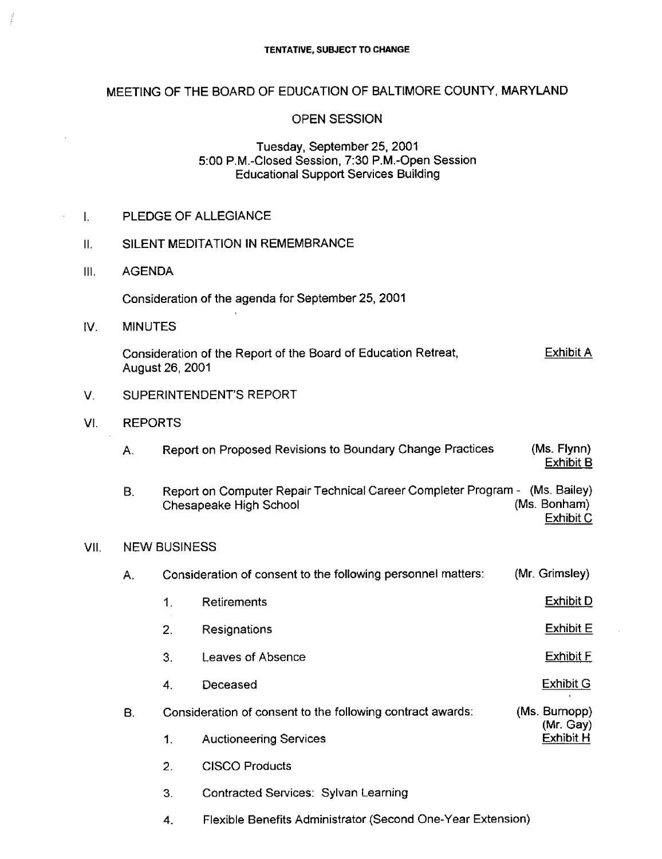### MEETING OF THE BOARD OF EDUCATION OF BALTIMORE COUNTY, MARYLAND

#### OPEN SESSION

#### Tuesday, September 25, 2001 5 :00 P.M.-Closed Session, 7:30 P.M .-Open Session Educational Support Services Building

| II.  | SILENT MEDITATION IN REMEMBRANCE |                                                                                                       |                                                                                                       |                                 |  |  |  |
|------|----------------------------------|-------------------------------------------------------------------------------------------------------|-------------------------------------------------------------------------------------------------------|---------------------------------|--|--|--|
| III. | <b>AGENDA</b>                    |                                                                                                       |                                                                                                       |                                 |  |  |  |
|      |                                  |                                                                                                       | Consideration of the agenda for September 25, 2001                                                    |                                 |  |  |  |
| IV.  | <b>MINUTES</b>                   |                                                                                                       |                                                                                                       |                                 |  |  |  |
|      |                                  | <b>Exhibit A</b><br>Consideration of the Report of the Board of Education Retreat,<br>August 26, 2001 |                                                                                                       |                                 |  |  |  |
| V.   | SUPERINTENDENT'S REPORT          |                                                                                                       |                                                                                                       |                                 |  |  |  |
| VI.  |                                  | <b>REPORTS</b>                                                                                        |                                                                                                       |                                 |  |  |  |
|      | А.                               |                                                                                                       | Report on Proposed Revisions to Boundary Change Practices                                             | (Ms. Flynn)<br><b>Exhibit B</b> |  |  |  |
|      | <b>B.</b>                        |                                                                                                       | Report on Computer Repair Technical Career Completer Program - (Ms. Bailey)<br>Chesapeake High School | (Ms. Bonham)<br>Exhibit C       |  |  |  |
| VII. | <b>NEW BUSINESS</b>              |                                                                                                       |                                                                                                       |                                 |  |  |  |
|      | Α.                               | Consideration of consent to the following personnel matters:                                          | (Mr. Grimsley)                                                                                        |                                 |  |  |  |
|      |                                  | 1.                                                                                                    | Retirements                                                                                           | <b>Exhibit D</b>                |  |  |  |
|      |                                  | 2.                                                                                                    | Resignations                                                                                          | <b>Exhibit E</b>                |  |  |  |
|      |                                  | 3.                                                                                                    | Leaves of Absence                                                                                     | <b>Exhibit F</b>                |  |  |  |
|      |                                  | 4.                                                                                                    | Deceased                                                                                              | Exhibit G                       |  |  |  |

# B. Consideration of consent to the following contract awards: (Ms. Burnopp)

(Mr. Gay)<br>Exhibit H 1. Auctioneering Services

2. CISCO Products

VI.

 $III.$ 

 $\ddot{\phantom{a}}$ 

 $IV.$ 

I. PLEDGE OF ALLEGIANCE

- 3. Contracted Services : Sylvan Learning
- 4. Flexible Benefits Administrator (Second One-Year Extension)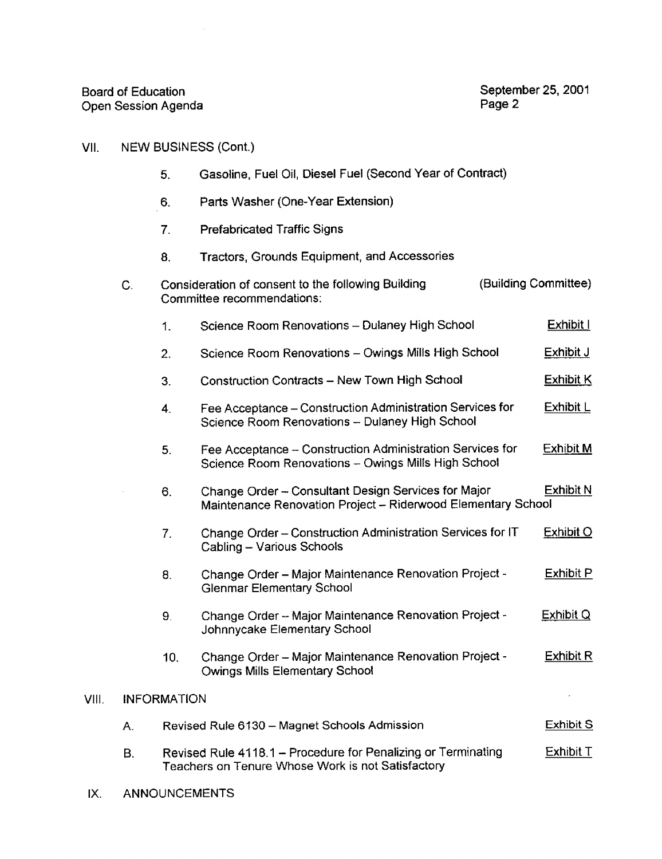## VII. NEW BUSINESS (Cont.)

- 5 . Gasoline, Fuel Oil, Diesel Fuel (Second Year of Contract)
- Parts Washer (One-Year Extension)  $6.$
- 7. Prefabricated Traffic Signs
- 8. Tractors, Grounds Equipment, and Accessories

| $\mathsf{C}$ . |                                                                                                                                 | Consideration of consent to the following Building<br>Committee recommendations:                                                        | (Building Committee) |                  |  |
|----------------|---------------------------------------------------------------------------------------------------------------------------------|-----------------------------------------------------------------------------------------------------------------------------------------|----------------------|------------------|--|
|                | 1.                                                                                                                              | Science Room Renovations - Dulaney High School                                                                                          |                      | Exhibit I        |  |
|                | 2.                                                                                                                              | Science Room Renovations - Owings Mills High School                                                                                     |                      | Exhibit J        |  |
|                | 3.                                                                                                                              | Construction Contracts - New Town High School                                                                                           |                      | <b>Exhibit K</b> |  |
|                | 4.                                                                                                                              | Fee Acceptance - Construction Administration Services for<br>Science Room Renovations - Dulaney High School                             |                      | Exhibit L        |  |
|                | 5.                                                                                                                              | Fee Acceptance - Construction Administration Services for<br>Science Room Renovations - Owings Mills High School                        |                      | <b>Exhibit M</b> |  |
|                | 6.                                                                                                                              | <b>Exhibit N</b><br>Change Order - Consultant Design Services for Major<br>Maintenance Renovation Project - Riderwood Elementary School |                      |                  |  |
|                | 7.                                                                                                                              | Change Order - Construction Administration Services for IT<br>Cabling - Various Schools                                                 |                      | Exhibit O        |  |
|                | 8.                                                                                                                              | Change Order - Major Maintenance Renovation Project -<br><b>Glenmar Elementary School</b>                                               |                      | Exhibit P        |  |
|                | 9.                                                                                                                              | Change Order - Major Maintenance Renovation Project -<br>Johnnycake Elementary School                                                   |                      | Exhibit Q        |  |
|                | 10.                                                                                                                             | Change Order - Major Maintenance Renovation Project -<br>Owings Mills Elementary School                                                 |                      | Exhibit R        |  |
|                | <b>INFORMATION</b>                                                                                                              |                                                                                                                                         |                      |                  |  |
| Α.             | Revised Rule 6130 - Magnet Schools Admission                                                                                    |                                                                                                                                         |                      |                  |  |
| В.             | Exhibit T<br>Revised Rule 4118.1 – Procedure for Penalizing or Terminating<br>Teachers on Tenure Whose Work is not Satisfactory |                                                                                                                                         |                      |                  |  |

IX. ANNOUNCEMENTS

VIII.